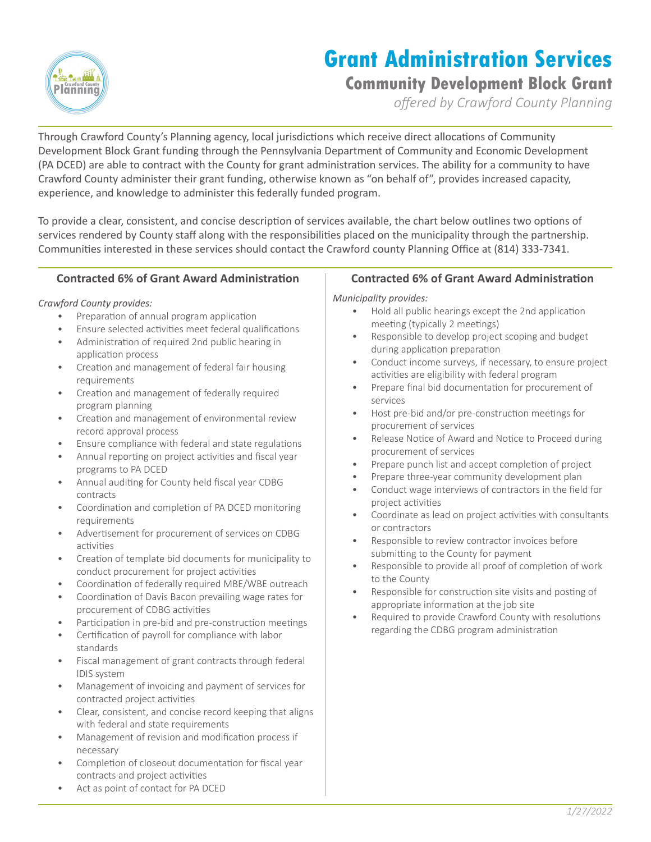

# **Grant Administration Services**

# **Community Development Block Grant**

*offered by Crawford County Planning*

Through Crawford County's Planning agency, local jurisdictions which receive direct allocations of Community Development Block Grant funding through the Pennsylvania Department of Community and Economic Development (PA DCED) are able to contract with the County for grant administration services. The ability for a community to have Crawford County administer their grant funding, otherwise known as "on behalf of", provides increased capacity, experience, and knowledge to administer this federally funded program.

To provide a clear, consistent, and concise description of services available, the chart below outlines two options of services rendered by County staff along with the responsibilities placed on the municipality through the partnership. Communities interested in these services should contact the Crawford county Planning Office at (814) 333-7341.

#### **Contracted 6% of Grant Award Administration**

#### *Crawford County provides:*

- Preparation of annual program application
- Ensure selected activities meet federal qualifications
- Administration of required 2nd public hearing in application process
- Creation and management of federal fair housing requirements
- Creation and management of federally required program planning
- Creation and management of environmental review record approval process
- Ensure compliance with federal and state regulations
- Annual reporting on project activities and fiscal year programs to PA DCED
- Annual auditing for County held fiscal year CDBG contracts
- Coordination and completion of PA DCED monitoring requirements
- Advertisement for procurement of services on CDBG activities
- Creation of template bid documents for municipality to conduct procurement for project activities
- Coordination of federally required MBE/WBE outreach
- Coordination of Davis Bacon prevailing wage rates for procurement of CDBG activities
- Participation in pre-bid and pre-construction meetings
- Certification of payroll for compliance with labor standards
- Fiscal management of grant contracts through federal IDIS system
- Management of invoicing and payment of services for contracted project activities
- Clear, consistent, and concise record keeping that aligns with federal and state requirements
- Management of revision and modification process if necessary
- Completion of closeout documentation for fiscal year contracts and project activities
- Act as point of contact for PA DCED

#### **Contracted 6% of Grant Award Administration**

*Municipality provides:*

- Hold all public hearings except the 2nd application meeting (typically 2 meetings)
- Responsible to develop project scoping and budget during application preparation
- Conduct income surveys, if necessary, to ensure project activities are eligibility with federal program
- Prepare final bid documentation for procurement of services
- Host pre-bid and/or pre-construction meetings for procurement of services
- Release Notice of Award and Notice to Proceed during procurement of services
- Prepare punch list and accept completion of project
- Prepare three-year community development plan
- Conduct wage interviews of contractors in the field for project activities
- Coordinate as lead on project activities with consultants or contractors
- Responsible to review contractor invoices before submitting to the County for payment
- Responsible to provide all proof of completion of work to the County
- Responsible for construction site visits and posting of appropriate information at the job site
- Required to provide Crawford County with resolutions regarding the CDBG program administration